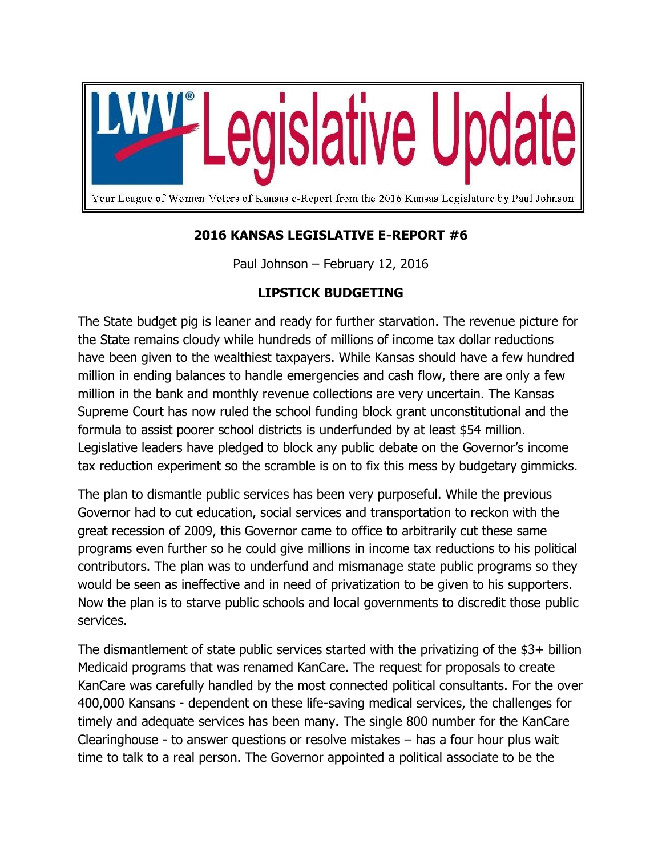

## **2016 KANSAS LEGISLATIVE E-REPORT #6**

Paul Johnson – February 12, 2016

## **LIPSTICK BUDGETING**

The State budget pig is leaner and ready for further starvation. The revenue picture for the State remains cloudy while hundreds of millions of income tax dollar reductions have been given to the wealthiest taxpayers. While Kansas should have a few hundred million in ending balances to handle emergencies and cash flow, there are only a few million in the bank and monthly revenue collections are very uncertain. The Kansas Supreme Court has now ruled the school funding block grant unconstitutional and the formula to assist poorer school districts is underfunded by at least \$54 million. Legislative leaders have pledged to block any public debate on the Governor's income tax reduction experiment so the scramble is on to fix this mess by budgetary gimmicks.

The plan to dismantle public services has been very purposeful. While the previous Governor had to cut education, social services and transportation to reckon with the great recession of 2009, this Governor came to office to arbitrarily cut these same programs even further so he could give millions in income tax reductions to his political contributors. The plan was to underfund and mismanage state public programs so they would be seen as ineffective and in need of privatization to be given to his supporters. Now the plan is to starve public schools and local governments to discredit those public services.

The dismantlement of state public services started with the privatizing of the \$3+ billion Medicaid programs that was renamed KanCare. The request for proposals to create KanCare was carefully handled by the most connected political consultants. For the over 400,000 Kansans - dependent on these life-saving medical services, the challenges for timely and adequate services has been many. The single 800 number for the KanCare Clearinghouse - to answer questions or resolve mistakes – has a four hour plus wait time to talk to a real person. The Governor appointed a political associate to be the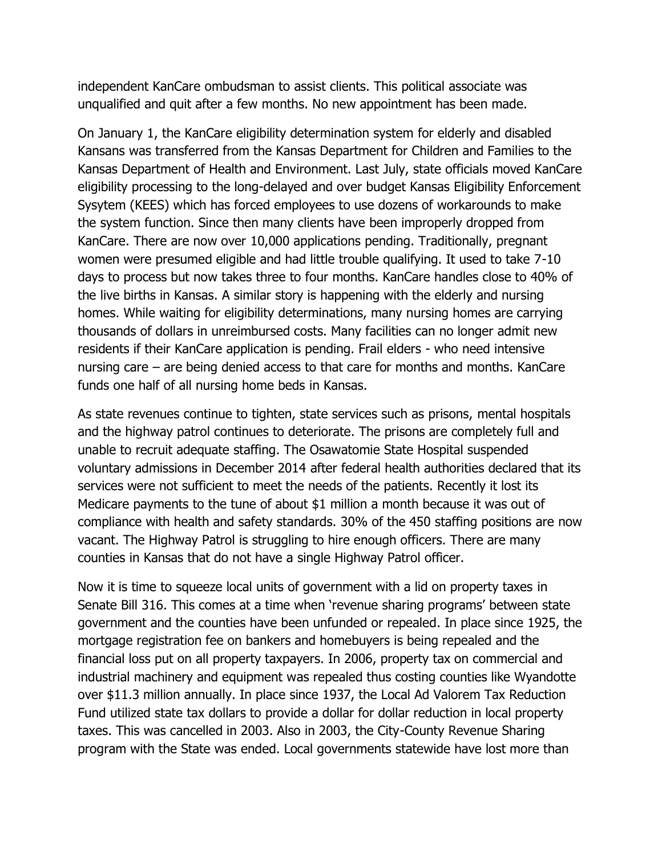independent KanCare ombudsman to assist clients. This political associate was unqualified and quit after a few months. No new appointment has been made.

On January 1, the KanCare eligibility determination system for elderly and disabled Kansans was transferred from the Kansas Department for Children and Families to the Kansas Department of Health and Environment. Last July, state officials moved KanCare eligibility processing to the long-delayed and over budget Kansas Eligibility Enforcement Sysytem (KEES) which has forced employees to use dozens of workarounds to make the system function. Since then many clients have been improperly dropped from KanCare. There are now over 10,000 applications pending. Traditionally, pregnant women were presumed eligible and had little trouble qualifying. It used to take 7-10 days to process but now takes three to four months. KanCare handles close to 40% of the live births in Kansas. A similar story is happening with the elderly and nursing homes. While waiting for eligibility determinations, many nursing homes are carrying thousands of dollars in unreimbursed costs. Many facilities can no longer admit new residents if their KanCare application is pending. Frail elders - who need intensive nursing care – are being denied access to that care for months and months. KanCare funds one half of all nursing home beds in Kansas.

As state revenues continue to tighten, state services such as prisons, mental hospitals and the highway patrol continues to deteriorate. The prisons are completely full and unable to recruit adequate staffing. The Osawatomie State Hospital suspended voluntary admissions in December 2014 after federal health authorities declared that its services were not sufficient to meet the needs of the patients. Recently it lost its Medicare payments to the tune of about \$1 million a month because it was out of compliance with health and safety standards. 30% of the 450 staffing positions are now vacant. The Highway Patrol is struggling to hire enough officers. There are many counties in Kansas that do not have a single Highway Patrol officer.

Now it is time to squeeze local units of government with a lid on property taxes in Senate Bill 316. This comes at a time when 'revenue sharing programs' between state government and the counties have been unfunded or repealed. In place since 1925, the mortgage registration fee on bankers and homebuyers is being repealed and the financial loss put on all property taxpayers. In 2006, property tax on commercial and industrial machinery and equipment was repealed thus costing counties like Wyandotte over \$11.3 million annually. In place since 1937, the Local Ad Valorem Tax Reduction Fund utilized state tax dollars to provide a dollar for dollar reduction in local property taxes. This was cancelled in 2003. Also in 2003, the City-County Revenue Sharing program with the State was ended. Local governments statewide have lost more than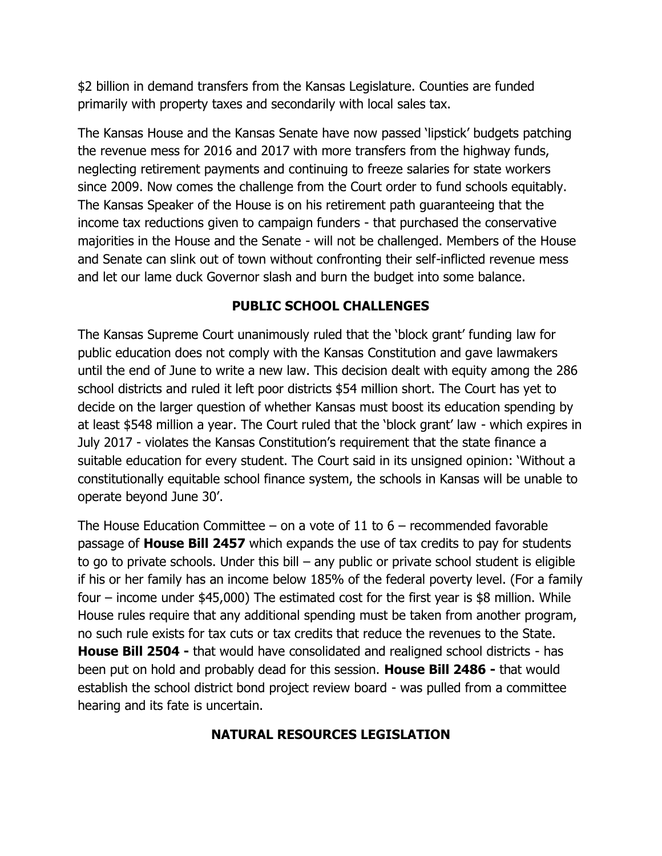\$2 billion in demand transfers from the Kansas Legislature. Counties are funded primarily with property taxes and secondarily with local sales tax.

The Kansas House and the Kansas Senate have now passed 'lipstick' budgets patching the revenue mess for 2016 and 2017 with more transfers from the highway funds, neglecting retirement payments and continuing to freeze salaries for state workers since 2009. Now comes the challenge from the Court order to fund schools equitably. The Kansas Speaker of the House is on his retirement path guaranteeing that the income tax reductions given to campaign funders - that purchased the conservative majorities in the House and the Senate - will not be challenged. Members of the House and Senate can slink out of town without confronting their self-inflicted revenue mess and let our lame duck Governor slash and burn the budget into some balance.

## **PUBLIC SCHOOL CHALLENGES**

The Kansas Supreme Court unanimously ruled that the 'block grant' funding law for public education does not comply with the Kansas Constitution and gave lawmakers until the end of June to write a new law. This decision dealt with equity among the 286 school districts and ruled it left poor districts \$54 million short. The Court has yet to decide on the larger question of whether Kansas must boost its education spending by at least \$548 million a year. The Court ruled that the 'block grant' law - which expires in July 2017 - violates the Kansas Constitution's requirement that the state finance a suitable education for every student. The Court said in its unsigned opinion: 'Without a constitutionally equitable school finance system, the schools in Kansas will be unable to operate beyond June 30'.

The House Education Committee – on a vote of 11 to  $6$  – recommended favorable passage of **House Bill 2457** which expands the use of tax credits to pay for students to go to private schools. Under this bill – any public or private school student is eligible if his or her family has an income below 185% of the federal poverty level. (For a family four – income under \$45,000) The estimated cost for the first year is \$8 million. While House rules require that any additional spending must be taken from another program, no such rule exists for tax cuts or tax credits that reduce the revenues to the State. **House Bill 2504 -** that would have consolidated and realigned school districts - has been put on hold and probably dead for this session. **House Bill 2486 -** that would establish the school district bond project review board - was pulled from a committee hearing and its fate is uncertain.

## **NATURAL RESOURCES LEGISLATION**